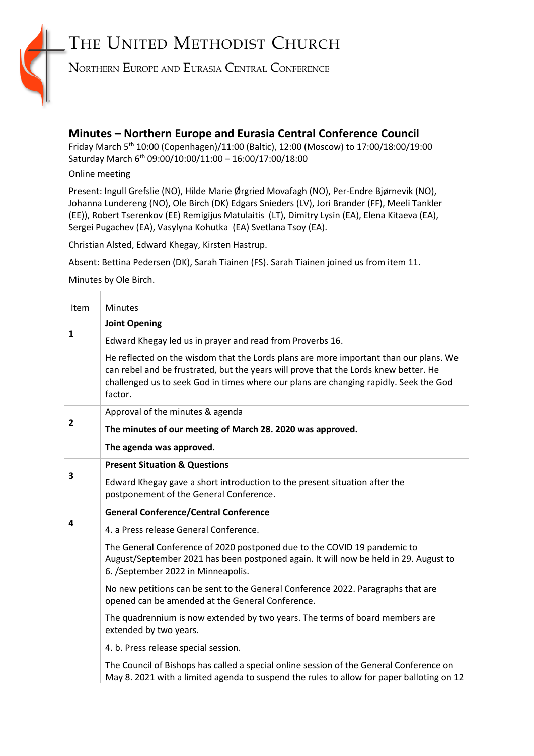## THE UNITED METHODIST CHURCH



NORTHERN EUROPE AND EURASIA CENTRAL CONFERENCE

## **Minutes – Northern Europe and Eurasia Central Conference Council**

Friday March 5<sup>th</sup> 10:00 (Copenhagen)/11:00 (Baltic), 12:00 (Moscow) to 17:00/18:00/19:00 Saturday March 6th 09:00/10:00/11:00 – 16:00/17:00/18:00

## Online meeting

Present: Ingull Grefslie (NO), Hilde Marie Ørgried Movafagh (NO), Per-Endre Bjørnevik (NO), Johanna Lundereng (NO), Ole Birch (DK) Edgars Snieders (LV), Jori Brander (FF), Meeli Tankler (EE)), Robert Tserenkov (EE) Remigijus Matulaitis (LT), Dimitry Lysin (EA), Elena Kitaeva (EA), Sergei Pugachev (EA), Vasylyna Kohutka (EA) Svetlana Tsoy (EA).

Christian Alsted, Edward Khegay, Kirsten Hastrup.

Absent: Bettina Pedersen (DK), Sarah Tiainen (FS). Sarah Tiainen joined us from item 11.

Minutes by Ole Birch.

| Item           | <b>Minutes</b>                                                                                                                                                                                                                                                                    |
|----------------|-----------------------------------------------------------------------------------------------------------------------------------------------------------------------------------------------------------------------------------------------------------------------------------|
| 1              | <b>Joint Opening</b>                                                                                                                                                                                                                                                              |
|                | Edward Khegay led us in prayer and read from Proverbs 16.                                                                                                                                                                                                                         |
|                | He reflected on the wisdom that the Lords plans are more important than our plans. We<br>can rebel and be frustrated, but the years will prove that the Lords knew better. He<br>challenged us to seek God in times where our plans are changing rapidly. Seek the God<br>factor. |
|                | Approval of the minutes & agenda                                                                                                                                                                                                                                                  |
| $\overline{2}$ | The minutes of our meeting of March 28. 2020 was approved.                                                                                                                                                                                                                        |
|                | The agenda was approved.                                                                                                                                                                                                                                                          |
|                | <b>Present Situation &amp; Questions</b>                                                                                                                                                                                                                                          |
| 3              | Edward Khegay gave a short introduction to the present situation after the<br>postponement of the General Conference.                                                                                                                                                             |
|                | <b>General Conference/Central Conference</b>                                                                                                                                                                                                                                      |
| 4              | 4. a Press release General Conference.                                                                                                                                                                                                                                            |
|                | The General Conference of 2020 postponed due to the COVID 19 pandemic to<br>August/September 2021 has been postponed again. It will now be held in 29. August to<br>6. /September 2022 in Minneapolis.                                                                            |
|                | No new petitions can be sent to the General Conference 2022. Paragraphs that are<br>opened can be amended at the General Conference.                                                                                                                                              |
|                | The quadrennium is now extended by two years. The terms of board members are<br>extended by two years.                                                                                                                                                                            |
|                | 4. b. Press release special session.                                                                                                                                                                                                                                              |
|                | The Council of Bishops has called a special online session of the General Conference on<br>May 8. 2021 with a limited agenda to suspend the rules to allow for paper balloting on 12                                                                                              |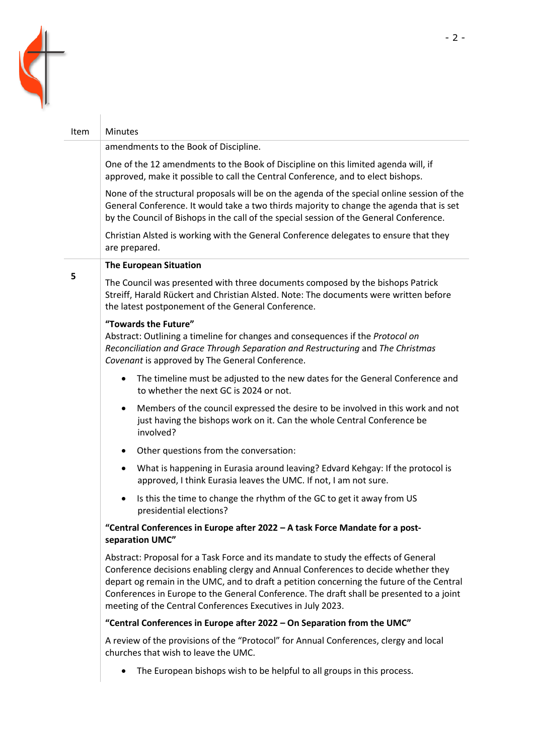

| Item | <b>Minutes</b>                                                                                                                                                                                                                                                                                                                                                                                                                    |
|------|-----------------------------------------------------------------------------------------------------------------------------------------------------------------------------------------------------------------------------------------------------------------------------------------------------------------------------------------------------------------------------------------------------------------------------------|
|      | amendments to the Book of Discipline.                                                                                                                                                                                                                                                                                                                                                                                             |
|      | One of the 12 amendments to the Book of Discipline on this limited agenda will, if<br>approved, make it possible to call the Central Conference, and to elect bishops.                                                                                                                                                                                                                                                            |
|      | None of the structural proposals will be on the agenda of the special online session of the<br>General Conference. It would take a two thirds majority to change the agenda that is set<br>by the Council of Bishops in the call of the special session of the General Conference.                                                                                                                                                |
|      | Christian Alsted is working with the General Conference delegates to ensure that they<br>are prepared.                                                                                                                                                                                                                                                                                                                            |
|      | <b>The European Situation</b>                                                                                                                                                                                                                                                                                                                                                                                                     |
| 5    | The Council was presented with three documents composed by the bishops Patrick<br>Streiff, Harald Rückert and Christian Alsted. Note: The documents were written before<br>the latest postponement of the General Conference.                                                                                                                                                                                                     |
|      | "Towards the Future"<br>Abstract: Outlining a timeline for changes and consequences if the Protocol on<br>Reconciliation and Grace Through Separation and Restructuring and The Christmas<br>Covenant is approved by The General Conference.                                                                                                                                                                                      |
|      | The timeline must be adjusted to the new dates for the General Conference and<br>$\bullet$<br>to whether the next GC is 2024 or not.                                                                                                                                                                                                                                                                                              |
|      | Members of the council expressed the desire to be involved in this work and not<br>٠<br>just having the bishops work on it. Can the whole Central Conference be<br>involved?                                                                                                                                                                                                                                                      |
|      | Other questions from the conversation:<br>$\bullet$                                                                                                                                                                                                                                                                                                                                                                               |
|      | What is happening in Eurasia around leaving? Edvard Kehgay: If the protocol is<br>٠<br>approved, I think Eurasia leaves the UMC. If not, I am not sure.                                                                                                                                                                                                                                                                           |
|      | Is this the time to change the rhythm of the GC to get it away from US<br>٠<br>presidential elections?                                                                                                                                                                                                                                                                                                                            |
|      | "Central Conferences in Europe after 2022 - A task Force Mandate for a post-<br>separation UMC"                                                                                                                                                                                                                                                                                                                                   |
|      | Abstract: Proposal for a Task Force and its mandate to study the effects of General<br>Conference decisions enabling clergy and Annual Conferences to decide whether they<br>depart og remain in the UMC, and to draft a petition concerning the future of the Central<br>Conferences in Europe to the General Conference. The draft shall be presented to a joint<br>meeting of the Central Conferences Executives in July 2023. |
|      | "Central Conferences in Europe after 2022 - On Separation from the UMC"                                                                                                                                                                                                                                                                                                                                                           |
|      | A review of the provisions of the "Protocol" for Annual Conferences, clergy and local<br>churches that wish to leave the UMC.                                                                                                                                                                                                                                                                                                     |
|      | The European bishops wish to be helpful to all groups in this process.<br>$\bullet$                                                                                                                                                                                                                                                                                                                                               |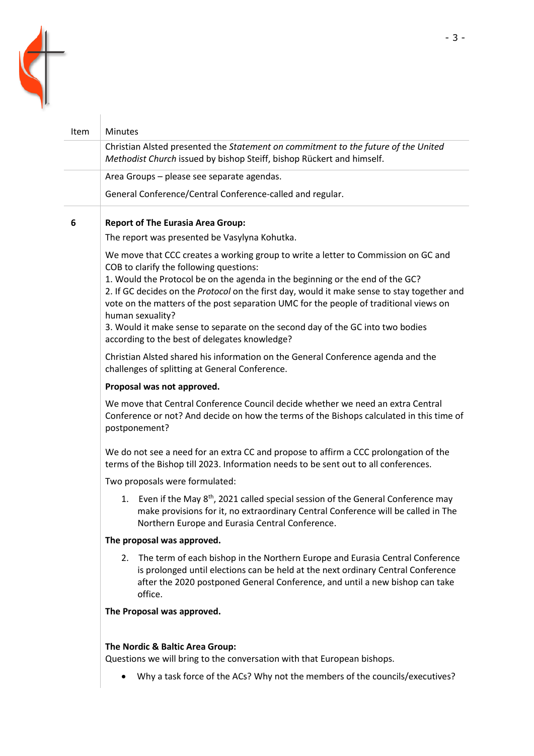

| Item | Minutes                                                                                                                                                                                                                                                                                                                                                                                                                                                                                                                                                       |
|------|---------------------------------------------------------------------------------------------------------------------------------------------------------------------------------------------------------------------------------------------------------------------------------------------------------------------------------------------------------------------------------------------------------------------------------------------------------------------------------------------------------------------------------------------------------------|
|      | Christian Alsted presented the Statement on commitment to the future of the United<br>Methodist Church issued by bishop Steiff, bishop Rückert and himself.                                                                                                                                                                                                                                                                                                                                                                                                   |
|      | Area Groups - please see separate agendas.                                                                                                                                                                                                                                                                                                                                                                                                                                                                                                                    |
|      | General Conference/Central Conference-called and regular.                                                                                                                                                                                                                                                                                                                                                                                                                                                                                                     |
| 6    | <b>Report of The Eurasia Area Group:</b>                                                                                                                                                                                                                                                                                                                                                                                                                                                                                                                      |
|      | The report was presented be Vasylyna Kohutka.                                                                                                                                                                                                                                                                                                                                                                                                                                                                                                                 |
|      | We move that CCC creates a working group to write a letter to Commission on GC and<br>COB to clarify the following questions:<br>1. Would the Protocol be on the agenda in the beginning or the end of the GC?<br>2. If GC decides on the Protocol on the first day, would it make sense to stay together and<br>vote on the matters of the post separation UMC for the people of traditional views on<br>human sexuality?<br>3. Would it make sense to separate on the second day of the GC into two bodies<br>according to the best of delegates knowledge? |
|      | Christian Alsted shared his information on the General Conference agenda and the<br>challenges of splitting at General Conference.                                                                                                                                                                                                                                                                                                                                                                                                                            |
|      | Proposal was not approved.                                                                                                                                                                                                                                                                                                                                                                                                                                                                                                                                    |
|      | We move that Central Conference Council decide whether we need an extra Central<br>Conference or not? And decide on how the terms of the Bishops calculated in this time of<br>postponement?                                                                                                                                                                                                                                                                                                                                                                  |
|      | We do not see a need for an extra CC and propose to affirm a CCC prolongation of the<br>terms of the Bishop till 2023. Information needs to be sent out to all conferences.                                                                                                                                                                                                                                                                                                                                                                                   |
|      | Two proposals were formulated:                                                                                                                                                                                                                                                                                                                                                                                                                                                                                                                                |
|      | 1. Even if the May 8 <sup>th</sup> , 2021 called special session of the General Conference may<br>make provisions for it, no extraordinary Central Conference will be called in The<br>Northern Europe and Eurasia Central Conference.                                                                                                                                                                                                                                                                                                                        |
|      | The proposal was approved.                                                                                                                                                                                                                                                                                                                                                                                                                                                                                                                                    |
|      | The term of each bishop in the Northern Europe and Eurasia Central Conference<br>2.<br>is prolonged until elections can be held at the next ordinary Central Conference<br>after the 2020 postponed General Conference, and until a new bishop can take<br>office.                                                                                                                                                                                                                                                                                            |
|      | The Proposal was approved.                                                                                                                                                                                                                                                                                                                                                                                                                                                                                                                                    |
|      | The Nordic & Baltic Area Group:<br>Questions we will bring to the conversation with that European bishops.                                                                                                                                                                                                                                                                                                                                                                                                                                                    |
|      | Why a task force of the ACs? Why not the members of the councils/executives?                                                                                                                                                                                                                                                                                                                                                                                                                                                                                  |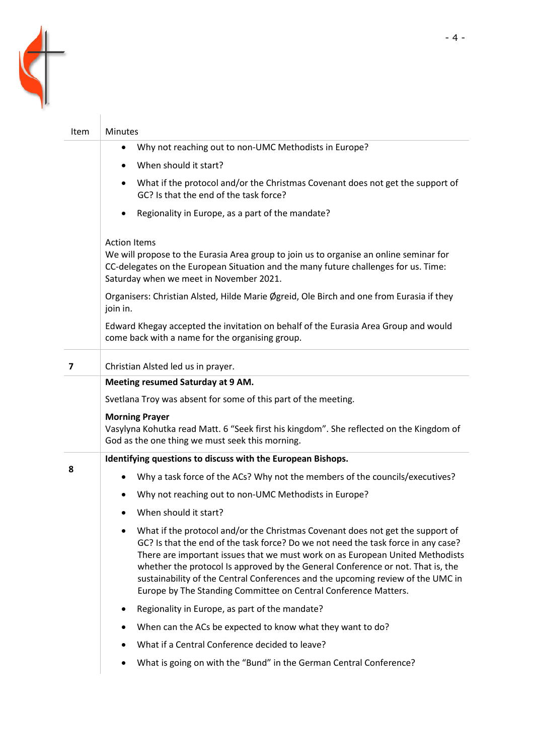

| Item           | <b>Minutes</b>                                                                                                                                                                                                                                                                                                                                                                                                                                                                                             |
|----------------|------------------------------------------------------------------------------------------------------------------------------------------------------------------------------------------------------------------------------------------------------------------------------------------------------------------------------------------------------------------------------------------------------------------------------------------------------------------------------------------------------------|
|                | Why not reaching out to non-UMC Methodists in Europe?<br>٠                                                                                                                                                                                                                                                                                                                                                                                                                                                 |
|                | When should it start?                                                                                                                                                                                                                                                                                                                                                                                                                                                                                      |
|                | What if the protocol and/or the Christmas Covenant does not get the support of<br>GC? Is that the end of the task force?                                                                                                                                                                                                                                                                                                                                                                                   |
|                | Regionality in Europe, as a part of the mandate?                                                                                                                                                                                                                                                                                                                                                                                                                                                           |
|                | <b>Action Items</b><br>We will propose to the Eurasia Area group to join us to organise an online seminar for<br>CC-delegates on the European Situation and the many future challenges for us. Time:<br>Saturday when we meet in November 2021.                                                                                                                                                                                                                                                            |
|                | Organisers: Christian Alsted, Hilde Marie Øgreid, Ole Birch and one from Eurasia if they<br>join in.                                                                                                                                                                                                                                                                                                                                                                                                       |
|                | Edward Khegay accepted the invitation on behalf of the Eurasia Area Group and would<br>come back with a name for the organising group.                                                                                                                                                                                                                                                                                                                                                                     |
| $\overline{ }$ | Christian Alsted led us in prayer.                                                                                                                                                                                                                                                                                                                                                                                                                                                                         |
|                | Meeting resumed Saturday at 9 AM.                                                                                                                                                                                                                                                                                                                                                                                                                                                                          |
|                | Svetlana Troy was absent for some of this part of the meeting.                                                                                                                                                                                                                                                                                                                                                                                                                                             |
|                | <b>Morning Prayer</b>                                                                                                                                                                                                                                                                                                                                                                                                                                                                                      |
|                | Vasylyna Kohutka read Matt. 6 "Seek first his kingdom". She reflected on the Kingdom of<br>God as the one thing we must seek this morning.                                                                                                                                                                                                                                                                                                                                                                 |
|                | Identifying questions to discuss with the European Bishops.                                                                                                                                                                                                                                                                                                                                                                                                                                                |
| 8              | Why a task force of the ACs? Why not the members of the councils/executives?                                                                                                                                                                                                                                                                                                                                                                                                                               |
|                | Why not reaching out to non-UMC Methodists in Europe?<br>٠                                                                                                                                                                                                                                                                                                                                                                                                                                                 |
|                | When should it start?                                                                                                                                                                                                                                                                                                                                                                                                                                                                                      |
|                | What if the protocol and/or the Christmas Covenant does not get the support of<br>$\bullet$<br>GC? Is that the end of the task force? Do we not need the task force in any case?<br>There are important issues that we must work on as European United Methodists<br>whether the protocol Is approved by the General Conference or not. That is, the<br>sustainability of the Central Conferences and the upcoming review of the UMC in<br>Europe by The Standing Committee on Central Conference Matters. |
|                | Regionality in Europe, as part of the mandate?                                                                                                                                                                                                                                                                                                                                                                                                                                                             |
|                | When can the ACs be expected to know what they want to do?<br>٠                                                                                                                                                                                                                                                                                                                                                                                                                                            |
|                | What if a Central Conference decided to leave?                                                                                                                                                                                                                                                                                                                                                                                                                                                             |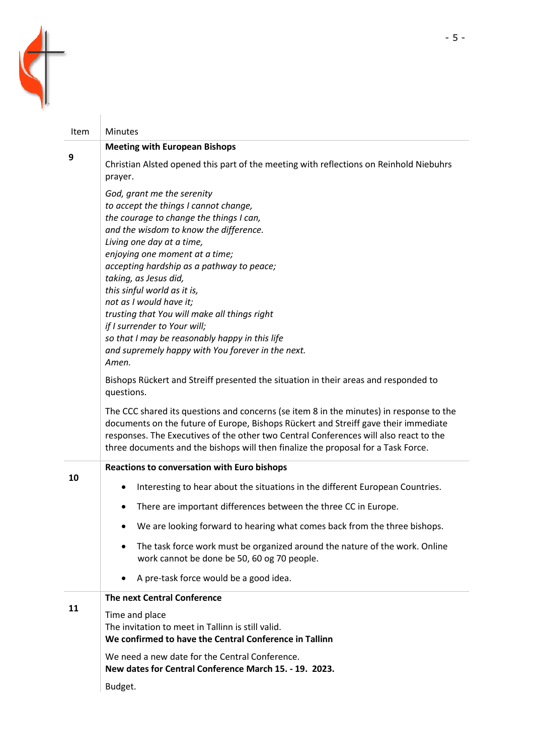

| <b>Item</b> | <b>Minutes</b>                                                                                                                                                                                                                                                                                                                                                                                                                                                                                                                                                                                                                                               |
|-------------|--------------------------------------------------------------------------------------------------------------------------------------------------------------------------------------------------------------------------------------------------------------------------------------------------------------------------------------------------------------------------------------------------------------------------------------------------------------------------------------------------------------------------------------------------------------------------------------------------------------------------------------------------------------|
| 9           | <b>Meeting with European Bishops</b>                                                                                                                                                                                                                                                                                                                                                                                                                                                                                                                                                                                                                         |
|             | Christian Alsted opened this part of the meeting with reflections on Reinhold Niebuhrs<br>prayer.                                                                                                                                                                                                                                                                                                                                                                                                                                                                                                                                                            |
|             | God, grant me the serenity<br>to accept the things I cannot change,<br>the courage to change the things I can,<br>and the wisdom to know the difference.<br>Living one day at a time,<br>enjoying one moment at a time;<br>accepting hardship as a pathway to peace;<br>taking, as Jesus did,<br>this sinful world as it is,<br>not as I would have it;<br>trusting that You will make all things right<br>if I surrender to Your will;<br>so that I may be reasonably happy in this life<br>and supremely happy with You forever in the next.<br>Amen.<br>Bishops Rückert and Streiff presented the situation in their areas and responded to<br>questions. |
|             | The CCC shared its questions and concerns (se item 8 in the minutes) in response to the<br>documents on the future of Europe, Bishops Rückert and Streiff gave their immediate<br>responses. The Executives of the other two Central Conferences will also react to the<br>three documents and the bishops will then finalize the proposal for a Task Force.                                                                                                                                                                                                                                                                                                 |
|             | <b>Reactions to conversation with Euro bishops</b>                                                                                                                                                                                                                                                                                                                                                                                                                                                                                                                                                                                                           |
| 10          | Interesting to hear about the situations in the different European Countries.<br>$\bullet$                                                                                                                                                                                                                                                                                                                                                                                                                                                                                                                                                                   |
|             | There are important differences between the three CC in Europe.                                                                                                                                                                                                                                                                                                                                                                                                                                                                                                                                                                                              |
|             | We are looking forward to hearing what comes back from the three bishops.                                                                                                                                                                                                                                                                                                                                                                                                                                                                                                                                                                                    |
|             | The task force work must be organized around the nature of the work. Online<br>work cannot be done be 50, 60 og 70 people.                                                                                                                                                                                                                                                                                                                                                                                                                                                                                                                                   |
|             | A pre-task force would be a good idea.                                                                                                                                                                                                                                                                                                                                                                                                                                                                                                                                                                                                                       |
| 11          | The next Central Conference                                                                                                                                                                                                                                                                                                                                                                                                                                                                                                                                                                                                                                  |
|             | Time and place<br>The invitation to meet in Tallinn is still valid.<br>We confirmed to have the Central Conference in Tallinn                                                                                                                                                                                                                                                                                                                                                                                                                                                                                                                                |
|             | We need a new date for the Central Conference.<br>New dates for Central Conference March 15. - 19. 2023.                                                                                                                                                                                                                                                                                                                                                                                                                                                                                                                                                     |
|             | Budget.                                                                                                                                                                                                                                                                                                                                                                                                                                                                                                                                                                                                                                                      |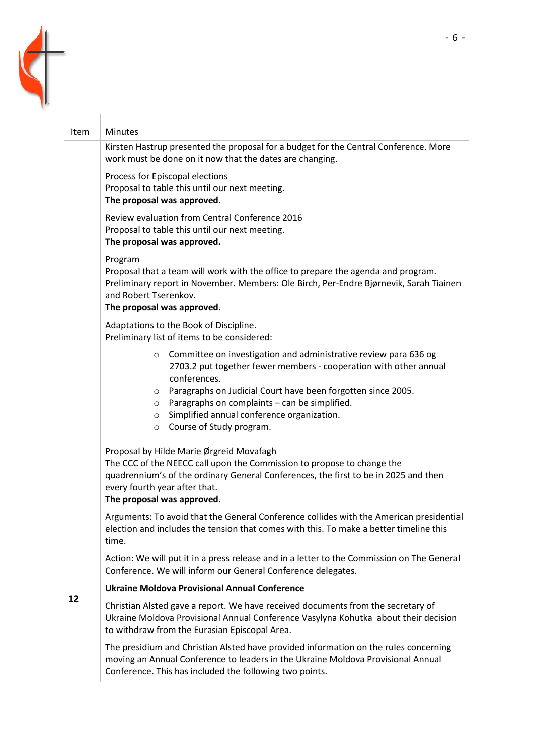

## Item | Minutes Kirsten Hastrup presented the proposal for a budget for the Central Conference. More work must be done on it now that the dates are changing. Process for Episcopal elections Proposal to table this until our next meeting. **The proposal was approved.** Review evaluation from Central Conference 2016 Proposal to table this until our next meeting. **The proposal was approved.** Program Proposal that a team will work with the office to prepare the agenda and program. Preliminary report in November. Members: Ole Birch, Per-Endre Bjørnevik, Sarah Tiainen and Robert Tserenkov. **The proposal was approved.** Adaptations to the Book of Discipline. Preliminary list of items to be considered: o Committee on investigation and administrative review para 636 og 2703.2 put together fewer members - cooperation with other annual conferences. o Paragraphs on Judicial Court have been forgotten since 2005.  $\circ$  Paragraphs on complaints – can be simplified. o Simplified annual conference organization. o Course of Study program. Proposal by Hilde Marie Ørgreid Movafagh The CCC of the NEECC call upon the Commission to propose to change the quadrennium's of the ordinary General Conferences, the first to be in 2025 and then every fourth year after that. **The proposal was approved.** Arguments: To avoid that the General Conference collides with the American presidential election and includes the tension that comes with this. To make a better timeline this time. Action: We will put it in a press release and in a letter to the Commission on The General Conference. We will inform our General Conference delegates. **12 Ukraine Moldova Provisional Annual Conference** Christian Alsted gave a report. We have received documents from the secretary of Ukraine Moldova Provisional Annual Conference Vasylyna Kohutka about their decision to withdraw from the Eurasian Episcopal Area. The presidium and Christian Alsted have provided information on the rules concerning moving an Annual Conference to leaders in the Ukraine Moldova Provisional Annual Conference. This has included the following two points.